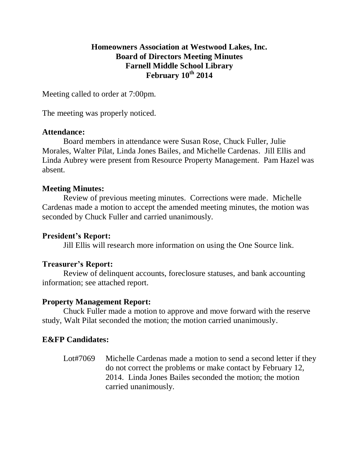## **Homeowners Association at Westwood Lakes, Inc. Board of Directors Meeting Minutes Farnell Middle School Library February 10 th 2014**

Meeting called to order at 7:00pm.

The meeting was properly noticed.

#### **Attendance:**

Board members in attendance were Susan Rose, Chuck Fuller, Julie Morales, Walter Pilat, Linda Jones Bailes, and Michelle Cardenas. Jill Ellis and Linda Aubrey were present from Resource Property Management. Pam Hazel was absent.

#### **Meeting Minutes:**

Review of previous meeting minutes. Corrections were made. Michelle Cardenas made a motion to accept the amended meeting minutes, the motion was seconded by Chuck Fuller and carried unanimously.

#### **President's Report:**

Jill Ellis will research more information on using the One Source link.

## **Treasurer's Report:**

Review of delinquent accounts, foreclosure statuses, and bank accounting information; see attached report.

## **Property Management Report:**

Chuck Fuller made a motion to approve and move forward with the reserve study, Walt Pilat seconded the motion; the motion carried unanimously.

## **E&FP Candidates:**

Lot#7069 Michelle Cardenas made a motion to send a second letter if they do not correct the problems or make contact by February 12, 2014. Linda Jones Bailes seconded the motion; the motion carried unanimously.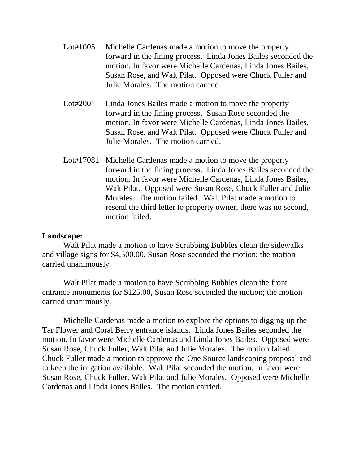- Lot#1005 Michelle Cardenas made a motion to move the property forward in the fining process. Linda Jones Bailes seconded the motion. In favor were Michelle Cardenas, Linda Jones Bailes, Susan Rose, and Walt Pilat. Opposed were Chuck Fuller and Julie Morales. The motion carried.
- Lot#2001 Linda Jones Bailes made a motion to move the property forward in the fining process. Susan Rose seconded the motion. In favor were Michelle Cardenas, Linda Jones Bailes, Susan Rose, and Walt Pilat. Opposed were Chuck Fuller and Julie Morales. The motion carried.
- Lot#17081 Michelle Cardenas made a motion to move the property forward in the fining process. Linda Jones Bailes seconded the motion. In favor were Michelle Cardenas, Linda Jones Bailes, Walt Pilat. Opposed were Susan Rose, Chuck Fuller and Julie Morales. The motion failed. Walt Pilat made a motion to resend the third letter to property owner, there was no second, motion failed.

#### **Landscape:**

Walt Pilat made a motion to have Scrubbing Bubbles clean the sidewalks and village signs for \$4,500.00, Susan Rose seconded the motion; the motion carried unanimously.

Walt Pilat made a motion to have Scrubbing Bubbles clean the front entrance monuments for \$125.00, Susan Rose seconded the motion; the motion carried unanimously.

Michelle Cardenas made a motion to explore the options to digging up the Tar Flower and Coral Berry entrance islands. Linda Jones Bailes seconded the motion. In favor were Michelle Cardenas and Linda Jones Bailes. Opposed were Susan Rose, Chuck Fuller, Walt Pilat and Julie Morales. The motion failed. Chuck Fuller made a motion to approve the One Source landscaping proposal and to keep the irrigation available. Walt Pilat seconded the motion. In favor were Susan Rose, Chuck Fuller, Walt Pilat and Julie Morales. Opposed were Michelle Cardenas and Linda Jones Bailes. The motion carried.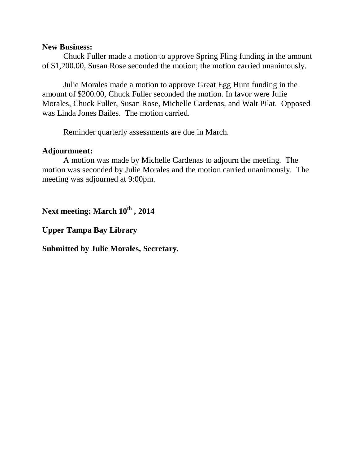#### **New Business:**

Chuck Fuller made a motion to approve Spring Fling funding in the amount of \$1,200.00, Susan Rose seconded the motion; the motion carried unanimously.

Julie Morales made a motion to approve Great Egg Hunt funding in the amount of \$200.00, Chuck Fuller seconded the motion. In favor were Julie Morales, Chuck Fuller, Susan Rose, Michelle Cardenas, and Walt Pilat. Opposed was Linda Jones Bailes. The motion carried.

Reminder quarterly assessments are due in March.

#### **Adjournment:**

A motion was made by Michelle Cardenas to adjourn the meeting. The motion was seconded by Julie Morales and the motion carried unanimously. The meeting was adjourned at 9:00pm.

**Next meeting: March 10th , 2014**

**Upper Tampa Bay Library** 

**Submitted by Julie Morales, Secretary.**